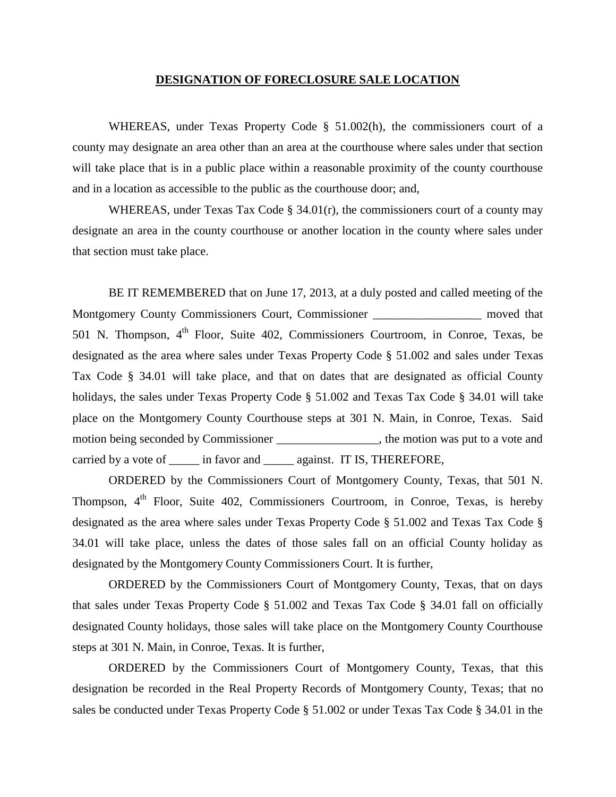## **DESIGNATION OF FORECLOSURE SALE LOCATION**

WHEREAS, under Texas Property Code § 51.002(h), the commissioners court of a county may designate an area other than an area at the courthouse where sales under that section will take place that is in a public place within a reasonable proximity of the county courthouse and in a location as accessible to the public as the courthouse door; and,

WHEREAS, under Texas Tax Code § 34.01(r), the commissioners court of a county may designate an area in the county courthouse or another location in the county where sales under that section must take place.

BE IT REMEMBERED that on June 17, 2013, at a duly posted and called meeting of the Montgomery County Commissioners Court, Commissioner \_\_\_\_\_\_\_\_\_\_\_\_\_\_\_\_\_\_\_\_ moved that 501 N. Thompson, 4<sup>th</sup> Floor, Suite 402, Commissioners Courtroom, in Conroe, Texas, be designated as the area where sales under Texas Property Code § 51.002 and sales under Texas Tax Code § 34.01 will take place, and that on dates that are designated as official County holidays, the sales under Texas Property Code § 51.002 and Texas Tax Code § 34.01 will take place on the Montgomery County Courthouse steps at 301 N. Main, in Conroe, Texas. Said motion being seconded by Commissioner \_\_\_\_\_\_\_\_\_\_\_\_\_\_\_, the motion was put to a vote and carried by a vote of \_\_\_\_\_ in favor and \_\_\_\_\_\_ against. IT IS, THEREFORE,

ORDERED by the Commissioners Court of Montgomery County, Texas, that 501 N. Thompson,  $4<sup>th</sup>$  Floor, Suite 402, Commissioners Courtroom, in Conroe, Texas, is hereby designated as the area where sales under Texas Property Code § 51.002 and Texas Tax Code § 34.01 will take place, unless the dates of those sales fall on an official County holiday as designated by the Montgomery County Commissioners Court. It is further,

ORDERED by the Commissioners Court of Montgomery County, Texas, that on days that sales under Texas Property Code § 51.002 and Texas Tax Code § 34.01 fall on officially designated County holidays, those sales will take place on the Montgomery County Courthouse steps at 301 N. Main, in Conroe, Texas. It is further,

ORDERED by the Commissioners Court of Montgomery County, Texas, that this designation be recorded in the Real Property Records of Montgomery County, Texas; that no sales be conducted under Texas Property Code § 51.002 or under Texas Tax Code § 34.01 in the